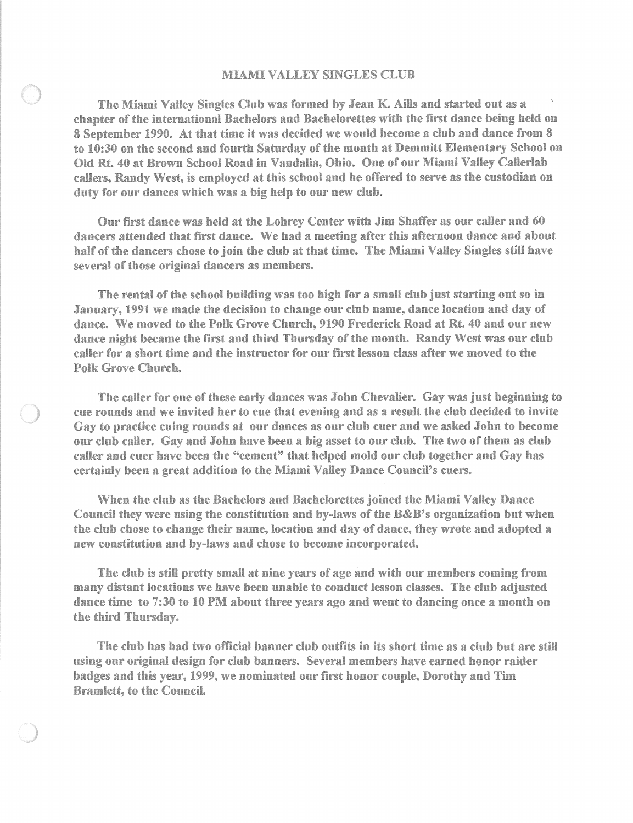## MIAMI VALLEY SINGLES CLUB

The Miami Valley Singles Club was formed by Jean K. Aills and started out as a chapter of the international Bachelors and Bachelorettes with the first dance being held on 8 September 1990. At that time it was decided we would become a club and dance from 8 to 10:30 on the second and fourth Saturday of the month at Demmitt Elementary School on Old Rt. 40 at Brown School Road in Vandalia, Ohio. One of our Miami Valley Callerlab callers, Randy West, is employed at this school and he offered to serve as the custodian on duty for our dances which was a big help to our new club.

Our first dance was held at the Lohrey Center with Jim Shaffer as our caller and 60 dancers attended that first dance. We had a meeting after this afternoon dance and about half of the dancers chose to join the club at that time. The Miami Valley Singles still have several of those original dancers as members.

The rental of the school building was too high for a small club just starting out so in January, 1991 we made the decision to change our club name, dance location and day of dance. We moved to the Polk Grove Church, 9190 Frederick Road at Rt. 40 and our new dance night became the first and third Thursday of the month. Randy West was our club caller for a short time and the instructor for our first lesson class after we moved to the Polk Grove Church.

The caller for one of these early dances was John Chevalier. Gay was just beginning to cue rounds and we invited her to cue that evening and as a result the club decided to invite Gay to practice cuing rounds at our dances as our club cuer and we asked John to become our club caller. Gay and John have been a big asset to our club. The two of them as club caller and cuer have been the "cement" that helped mold our club together and Gay has certainly been a great addition to the Miami Valley Dance Council's cuers.

When the club as the Bachelors and Bachelorettes joined the Miami Valley Dance Council they were using the constitution and by-laws of the B&B's organization but when the club chose to change their name, location and day of dance, they wrote and adopted a new constitution and by-laws and chose to become incorporated.

The club is still pretty small at nine years of age and with our members coming from many distant locations we have been unable to conduct lesson classes. The club adjusted dance time to 7:30 to 10 PM about three years ago and went to dancing once a month on the third Thursday.

The club has had two official banner club outfits in its short time as a club but are still using our original design for club banners. Several members have earned honor raider badges and this year, 1999, we nominated our first honor couple, Dorothy and Tim Bramlett, to the Council.